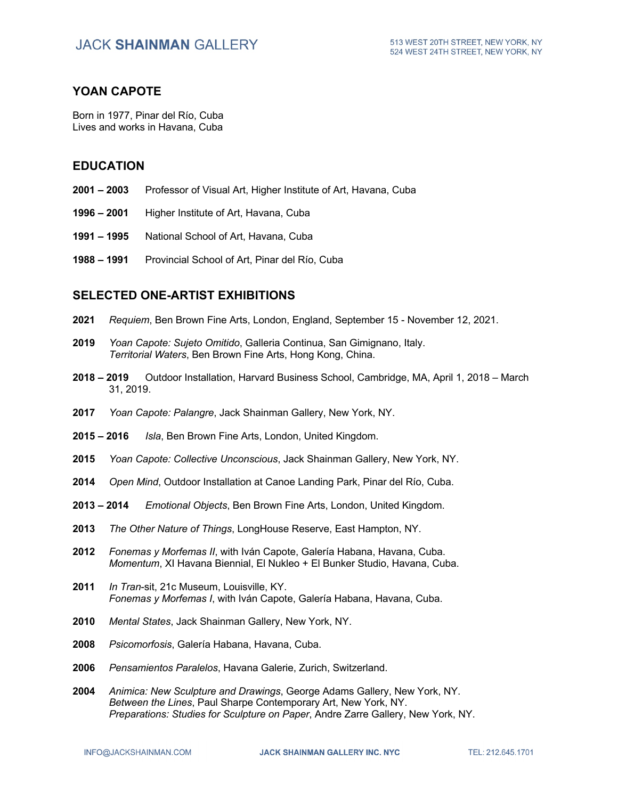## **YOAN CAPOTE**

Born in 1977, Pinar del Río, Cuba Lives and works in Havana, Cuba

### **EDUCATION**

- **2001 – 2003** Professor of Visual Art, Higher Institute of Art, Havana, Cuba
- **1996 – 2001** Higher Institute of Art, Havana, Cuba
- **1991 – 1995** National School of Art, Havana, Cuba
- **1988 – 1991** Provincial School of Art, Pinar del Río, Cuba

### **SELECTED ONE-ARTIST EXHIBITIONS**

- **2021** *Requiem*, Ben Brown Fine Arts, London, England, September 15 November 12, 2021.
- **2019** *Yoan Capote: Sujeto Omitido*, Galleria Continua, San Gimignano, Italy. *Territorial Waters*, Ben Brown Fine Arts, Hong Kong, China.
- **2018 – 2019** Outdoor Installation, Harvard Business School, Cambridge, MA, April 1, 2018 March 31, 2019.
- **2017** *Yoan Capote: Palangre*, Jack Shainman Gallery, New York, NY.
- **2015 – 2016** *Isla*, Ben Brown Fine Arts, London, United Kingdom.
- **2015** *Yoan Capote: Collective Unconscious*, Jack Shainman Gallery, New York, NY.
- **2014** *Open Mind*, Outdoor Installation at Canoe Landing Park, Pinar del Río, Cuba.
- **2013 – 2014** *Emotional Objects*, Ben Brown Fine Arts, London, United Kingdom.
- **2013** *The Other Nature of Things*, LongHouse Reserve, East Hampton, NY.
- **2012** *Fonemas y Morfemas II*, with Iván Capote, Galería Habana, Havana, Cuba. *Momentum*, XI Havana Biennial, El Nukleo + El Bunker Studio, Havana, Cuba.
- **2011** *In Tran*-sit, 21c Museum, Louisville, KY. *Fonemas y Morfemas I*, with Iván Capote, Galería Habana, Havana, Cuba.
- **2010** *Mental States*, Jack Shainman Gallery, New York, NY.
- **2008** *Psicomorfosis*, Galería Habana, Havana, Cuba.
- **2006** *Pensamientos Paralelos*, Havana Galerie, Zurich, Switzerland.
- **2004** *Animica: New Sculpture and Drawings*, George Adams Gallery, New York, NY. *Between the Lines*, Paul Sharpe Contemporary Art, New York, NY. *Preparations: Studies for Sculpture on Paper*, Andre Zarre Gallery, New York, NY.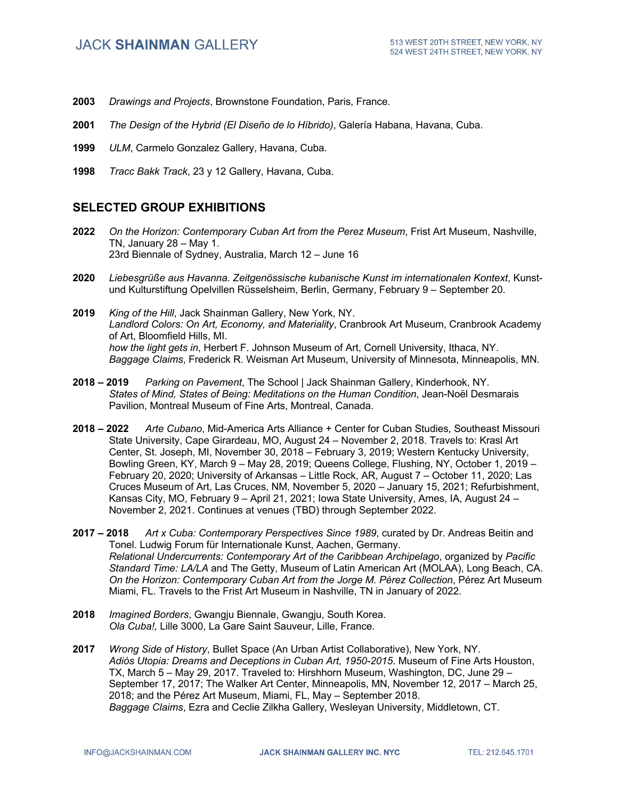- **2003** *Drawings and Projects*, Brownstone Foundation, Paris, France.
- **2001** *The Design of the Hybrid (El Diseño de lo Híbrido)*, Galería Habana, Havana, Cuba.
- **1999** *ULM*, Carmelo Gonzalez Gallery, Havana, Cuba.
- **1998** *Tracc Bakk Track*, 23 y 12 Gallery, Havana, Cuba.

# **SELECTED GROUP EXHIBITIONS**

- **2022** *On the Horizon: Contemporary Cuban Art from the Perez Museum*, Frist Art Museum, Nashville, TN, January 28 – May 1. 23rd Biennale of Sydney, Australia, March 12 – June 16
- **2020** *Liebesgrüße aus Havanna. Zeitgenössische kubanische Kunst im internationalen Kontext*, Kunstund Kulturstiftung Opelvillen Rüsselsheim, Berlin, Germany, February 9 – September 20.
- **2019** *King of the Hill*, Jack Shainman Gallery, New York, NY. *Landlord Colors: On Art, Economy, and Materiality*, Cranbrook Art Museum, Cranbrook Academy of Art, Bloomfield Hills, MI. *how the light gets in*, Herbert F. Johnson Museum of Art, Cornell University, Ithaca, NY. *Baggage Claims*, Frederick R. Weisman Art Museum, University of Minnesota, Minneapolis, MN.
- **2018 – 2019** *Parking on Pavement*, The School | Jack Shainman Gallery, Kinderhook, NY. *States of Mind, States of Being: Meditations on the Human Condition*, Jean-Noël Desmarais Pavilion, Montreal Museum of Fine Arts, Montreal, Canada.
- **2018 – 2022** *Arte Cubano*, Mid-America Arts Alliance + Center for Cuban Studies, Southeast Missouri State University, Cape Girardeau, MO, August 24 – November 2, 2018. Travels to: Krasl Art Center, St. Joseph, MI, November 30, 2018 – February 3, 2019; Western Kentucky University, Bowling Green, KY, March 9 – May 28, 2019; Queens College, Flushing, NY, October 1, 2019 – February 20, 2020; University of Arkansas – Little Rock, AR, August 7 – October 11, 2020; Las Cruces Museum of Art, Las Cruces, NM, November 5, 2020 – January 15, 2021; Refurbishment, Kansas City, MO, February 9 – April 21, 2021; Iowa State University, Ames, IA, August 24 – November 2, 2021. Continues at venues (TBD) through September 2022.
- **2017 – 2018** *Art x Cuba: Contemporary Perspectives Since 1989*, curated by Dr. Andreas Beitin and Tonel. Ludwig Forum für Internationale Kunst, Aachen, Germany. *Relational Undercurrents: Contemporary Art of the Caribbean Archipelago*, organized by *Pacific Standard Time: LA/LA* and The Getty, Museum of Latin American Art (MOLAA), Long Beach, CA. *On the Horizon: Contemporary Cuban Art from the Jorge M. Pérez Collection*, Pérez Art Museum Miami, FL. Travels to the Frist Art Museum in Nashville, TN in January of 2022.
- **2018** *Imagined Borders*, Gwangju Biennale, Gwangju, South Korea. *Ola Cuba!,* Lille 3000, La Gare Saint Sauveur, Lille, France.
- **2017** *Wrong Side of History*, Bullet Space (An Urban Artist Collaborative), New York, NY. *Adiós Utopia: Dreams and Deceptions in Cuban Art, 1950-2015*. Museum of Fine Arts Houston, TX, March 5 – May 29, 2017. Traveled to: Hirshhorn Museum, Washington, DC, June 29 – September 17, 2017; The Walker Art Center, Minneapolis, MN, November 12, 2017 – March 25, 2018; and the Pérez Art Museum, Miami, FL, May – September 2018. *Baggage Claims*, Ezra and Ceclie Zilkha Gallery, Wesleyan University, Middletown, CT.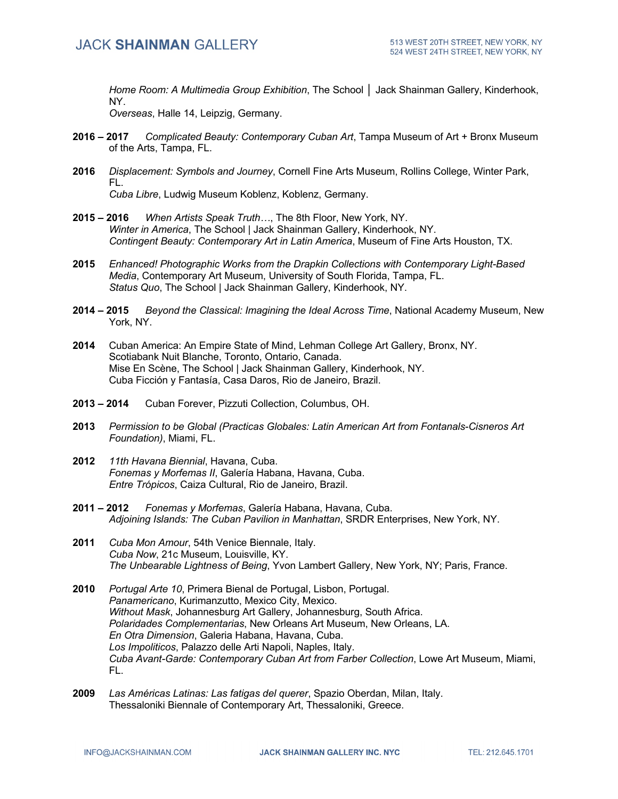*Home Room: A Multimedia Group Exhibition*, The School │ Jack Shainman Gallery, Kinderhook, NY.

*Overseas*, Halle 14, Leipzig, Germany.

- **2016 – 2017** *Complicated Beauty: Contemporary Cuban Art*, Tampa Museum of Art + Bronx Museum of the Arts, Tampa, FL.
- **2016** *Displacement: Symbols and Journey*, Cornell Fine Arts Museum, Rollins College, Winter Park, FL. *Cuba Libre*, Ludwig Museum Koblenz, Koblenz, Germany.
- **2015 – 2016** *When Artists Speak Truth…*, The 8th Floor, New York, NY. *Winter in America*, The School | Jack Shainman Gallery, Kinderhook, NY. *Contingent Beauty: Contemporary Art in Latin America*, Museum of Fine Arts Houston, TX.
- **2015** *Enhanced! Photographic Works from the Drapkin Collections with Contemporary Light-Based Media*, Contemporary Art Museum, University of South Florida, Tampa, FL. *Status Quo*, The School | Jack Shainman Gallery, Kinderhook, NY.
- **2014 – 2015** *Beyond the Classical: Imagining the Ideal Across Time*, National Academy Museum, New York, NY.
- **2014** Cuban America: An Empire State of Mind, Lehman College Art Gallery, Bronx, NY. Scotiabank Nuit Blanche, Toronto, Ontario, Canada. Mise En Scène, The School | Jack Shainman Gallery, Kinderhook, NY. Cuba Ficción y Fantasía, Casa Daros, Rio de Janeiro, Brazil.
- **2013 – 2014** Cuban Forever, Pizzuti Collection, Columbus, OH.
- **2013** *Permission to be Global (Practicas Globales: Latin American Art from Fontanals-Cisneros Art Foundation)*, Miami, FL.
- **2012** *11th Havana Biennial*, Havana, Cuba. *Fonemas y Morfemas II*, Galería Habana, Havana, Cuba. *Entre Trópicos*, Caiza Cultural, Rio de Janeiro, Brazil.
- **2011 – 2012** *Fonemas y Morfemas*, Galería Habana, Havana, Cuba. *Adjoining Islands: The Cuban Pavilion in Manhattan*, SRDR Enterprises, New York, NY.
- **2011** *Cuba Mon Amour*, 54th Venice Biennale, Italy. *Cuba Now*, 21c Museum, Louisville, KY. *The Unbearable Lightness of Being*, Yvon Lambert Gallery, New York, NY; Paris, France.
- **2010** *Portugal Arte 10*, Primera Bienal de Portugal, Lisbon, Portugal. *Panamericano*, Kurimanzutto, Mexico City, Mexico. *Without Mask*, Johannesburg Art Gallery, Johannesburg, South Africa. *Polaridades Complementarias*, New Orleans Art Museum, New Orleans, LA. *En Otra Dimension*, Galeria Habana, Havana, Cuba. *Los Impoliticos*, Palazzo delle Arti Napoli, Naples, Italy. *Cuba Avant-Garde: Contemporary Cuban Art from Farber Collection*, Lowe Art Museum, Miami, FL.
- **2009** *Las Américas Latinas: Las fatigas del querer*, Spazio Oberdan, Milan, Italy. Thessaloniki Biennale of Contemporary Art, Thessaloniki, Greece.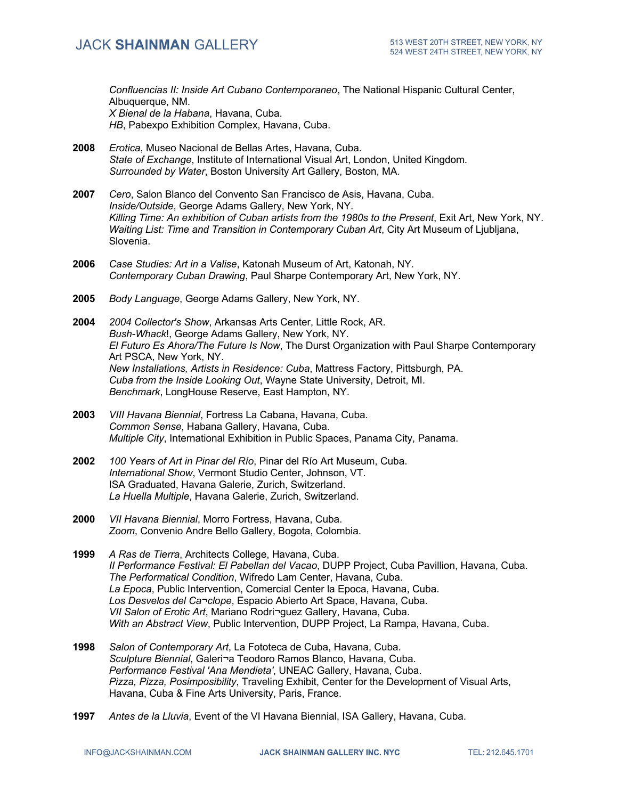*Confluencias II: Inside Art Cubano Contemporaneo*, The National Hispanic Cultural Center, Albuquerque, NM. *X Bienal de la Habana*, Havana, Cuba.

*HB*, Pabexpo Exhibition Complex, Havana, Cuba.

- **2008** *Erotica*, Museo Nacional de Bellas Artes, Havana, Cuba. *State of Exchange*, Institute of International Visual Art, London, United Kingdom. *Surrounded by Water*, Boston University Art Gallery, Boston, MA.
- **2007** *Cero*, Salon Blanco del Convento San Francisco de Asis, Havana, Cuba. *Inside/Outside*, George Adams Gallery, New York, NY. *Killing Time: An exhibition of Cuban artists from the 1980s to the Present*, Exit Art, New York, NY. *Waiting List: Time and Transition in Contemporary Cuban Art*, City Art Museum of Ljubljana, Slovenia.
- **2006** *Case Studies: Art in a Valise*, Katonah Museum of Art, Katonah, NY. *Contemporary Cuban Drawing*, Paul Sharpe Contemporary Art, New York, NY.
- **2005** *Body Language*, George Adams Gallery, New York, NY.
- **2004** *2004 Collector's Show*, Arkansas Arts Center, Little Rock, AR. *Bush-Whack*!, George Adams Gallery, New York, NY. *El Futuro Es Ahora/The Future Is Now*, The Durst Organization with Paul Sharpe Contemporary Art PSCA, New York, NY. *New Installations, Artists in Residence: Cuba*, Mattress Factory, Pittsburgh, PA. *Cuba from the Inside Looking Out*, Wayne State University, Detroit, MI. *Benchmark*, LongHouse Reserve, East Hampton, NY.
- **2003** *VIII Havana Biennial*, Fortress La Cabana, Havana, Cuba. *Common Sense*, Habana Gallery, Havana, Cuba. *Multiple City*, International Exhibition in Public Spaces, Panama City, Panama.
- **2002** *100 Years of Art in Pinar del Río*, Pinar del Río Art Museum, Cuba. *International Show*, Vermont Studio Center, Johnson, VT. ISA Graduated, Havana Galerie, Zurich, Switzerland. *La Huella Multiple*, Havana Galerie, Zurich, Switzerland.
- **2000** *VII Havana Biennial*, Morro Fortress, Havana, Cuba. *Zoom*, Convenio Andre Bello Gallery, Bogota, Colombia.
- **1999** *A Ras de Tierra*, Architects College, Havana, Cuba. *II Performance Festival: El Pabellan del Vacao*, DUPP Project, Cuba Pavillion, Havana, Cuba. *The Performatical Condition*, Wifredo Lam Center, Havana, Cuba. *La Epoca*, Public Intervention, Comercial Center la Epoca, Havana, Cuba. *Los Desvelos del Ca¬clope*, Espacio Abierto Art Space, Havana, Cuba. *VII Salon of Erotic Art*, Mariano Rodri¬guez Gallery, Havana, Cuba. *With an Abstract View*, Public Intervention, DUPP Project, La Rampa, Havana, Cuba.
- **1998** *Salon of Contemporary Art*, La Fototeca de Cuba, Havana, Cuba. *Sculpture Biennial*, Galeri¬a Teodoro Ramos Blanco, Havana, Cuba. *Performance Festival 'Ana Mendieta'*, UNEAC Gallery, Havana, Cuba. *Pizza, Pizza, Posimposibility*, Traveling Exhibit, Center for the Development of Visual Arts, Havana, Cuba & Fine Arts University, Paris, France.
- **1997** *Antes de la Lluvia*, Event of the VI Havana Biennial, ISA Gallery, Havana, Cuba.